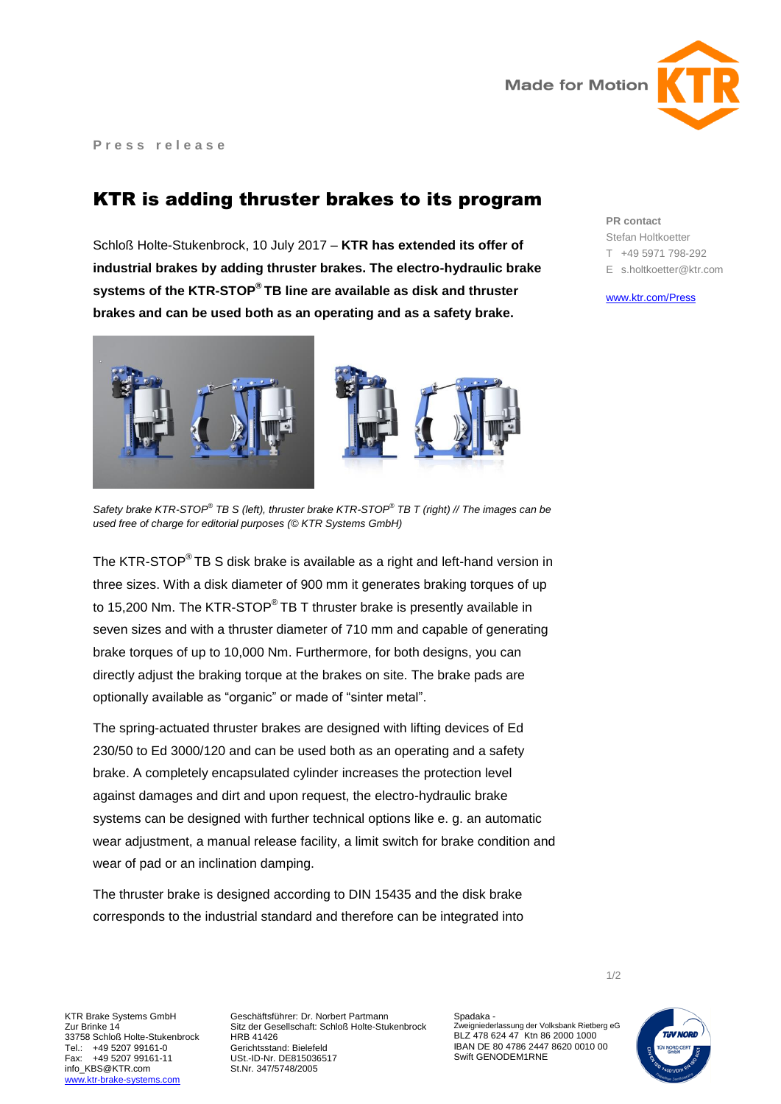

**P r e s s r e l e a s e**

## KTR is adding thruster brakes to its program

Schloß Holte-Stukenbrock, 10 July 2017 – **KTR has extended its offer of industrial brakes by adding thruster brakes. The electro-hydraulic brake systems of the KTR-STOP® TB line are available as disk and thruster brakes and can be used both as an operating and as a safety brake.**



*Safety brake KTR-STOP® TB S (left), thruster brake KTR-STOP® TB T (right) // The images can be used free of charge for editorial purposes (© KTR Systems GmbH)*

The KTR-STOP® TB S disk brake is available as a right and left-hand version in three sizes. With a disk diameter of 900 mm it generates braking torques of up to 15,200 Nm. The KTR-STOP<sup>®</sup> TB T thruster brake is presently available in seven sizes and with a thruster diameter of 710 mm and capable of generating brake torques of up to 10,000 Nm. Furthermore, for both designs, you can directly adjust the braking torque at the brakes on site. The brake pads are optionally available as "organic" or made of "sinter metal".

The spring-actuated thruster brakes are designed with lifting devices of Ed 230/50 to Ed 3000/120 and can be used both as an operating and a safety brake. A completely encapsulated cylinder increases the protection level against damages and dirt and upon request, the electro-hydraulic brake systems can be designed with further technical options like e. g. an automatic wear adjustment, a manual release facility, a limit switch for brake condition and wear of pad or an inclination damping.

The thruster brake is designed according to DIN 15435 and the disk brake corresponds to the industrial standard and therefore can be integrated into

**PR contact** Stefan Holtkoetter T +49 5971 798-292 E s.holtkoetter@ktr.com

[www.ktr.com/Press](https://www.ktr.com/en/press/press/)

Geschäftsführer: Dr. Norbert Partmann Sitz der Gesellschaft: Schloß Holte-Stukenbrock HRB 41426 Gerichtsstand: Bielefeld USt.-ID-Nr. DE815036517 St.Nr. 347/5748/2005

Spadaka - Zweigniederlassung der Volksbank Rietberg eG BLZ 478 624 47 Ktn 86 2000 1000 IBAN DE 80 4786 2447 8620 0010 00 Swift GENODEM1RNE



1/2